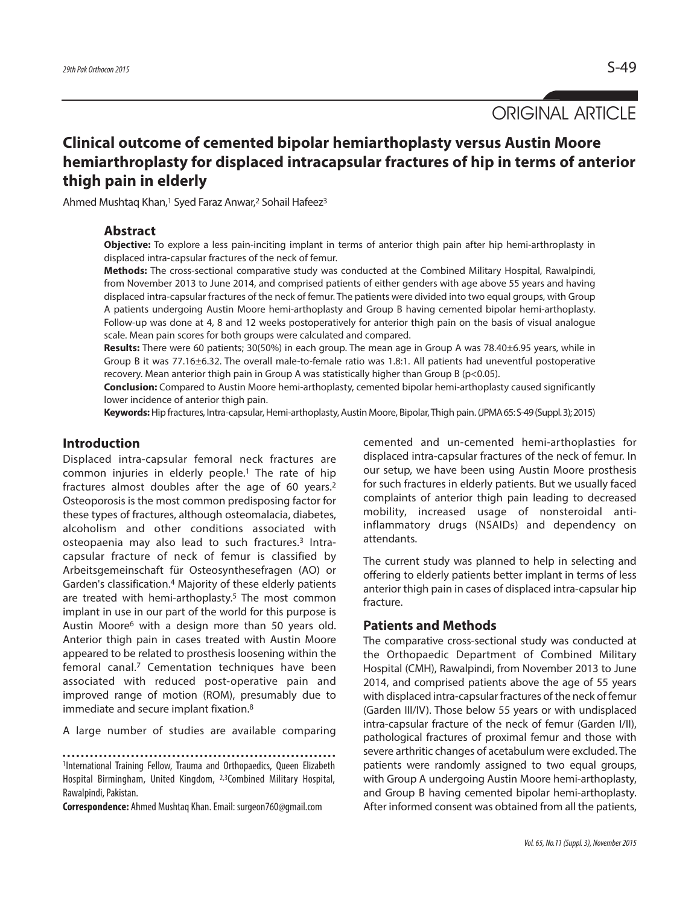ORIGINAL ARTICLE

# **Clinical outcome of cemented bipolar hemiarthoplasty versus Austin Moore hemiarthroplasty for displaced intracapsular fractures of hip in terms of anterior thigh pain in elderly**

Ahmed Mushtaq Khan, <sup>1</sup> Syed Faraz Anwar, <sup>2</sup> Sohail Hafeez3

### **Abstract**

**Objective:** To explore a less pain-inciting implant in terms of anterior thigh pain after hip hemi-arthroplasty in displaced intra-capsular fractures of the neck of femur.

**Methods:** The cross-sectional comparative study was conducted at the Combined Military Hospital, Rawalpindi, from November 2013 to June 2014, and comprised patients of either genders with age above 55 years and having displaced intra-capsular fractures of the neck of femur. The patients were divided into two equal groups, with Group A patients undergoing Austin Moore hemi-arthoplasty and Group B having cemented bipolar hemi-arthoplasty. Follow-up was done at 4, 8 and 12 weeks postoperatively for anterior thigh pain on the basis of visual analogue scale. Mean pain scores for both groups were calculated and compared.

**Results:** There were 60 patients; 30(50%) in each group. The mean age in Group A was 78.40±6.95 years, while in Group B it was 77.16±6.32. The overall male-to-female ratio was 1.8:1. All patients had uneventful postoperative recovery. Mean anterior thigh pain in Group A was statistically higher than Group B (p<0.05).

**Conclusion:** Compared to Austin Moore hemi-arthoplasty, cemented bipolar hemi-arthoplasty caused significantly lower incidence of anterior thigh pain.

Keywords: Hip fractures, Intra-capsular, Hemi-arthoplasty, Austin Moore, Bipolar, Thigh pain. (JPMA 65: S-49 (Suppl. 3); 2015)

## **Introduction**

Displaced intra-capsular femoral neck fractures are common injuries in elderly people. <sup>1</sup> The rate of hip fractures almost doubles after the age of 60 years. 2 Osteoporosis is the most common predisposing factor for these types of fractures, although osteomalacia, diabetes, alcoholism and other conditions associated with osteopaenia may also lead to such fractures. <sup>3</sup> Intracapsular fracture of neck of femur is classified by Arbeitsgemeinschaft für Osteosynthesefragen (AO) or Garden's classification. <sup>4</sup> Majority of these elderly patients are treated with hemi-arthoplasty. <sup>5</sup> The most common implant in use in our part of the world for this purpose is Austin Moore6 with a design more than 50 years old. Anterior thigh pain in cases treated with Austin Moore appeared to be related to prosthesis loosening within the femoral canal. <sup>7</sup> Cementation techniques have been associated with reduced post-operative pain and improved range of motion (ROM), presumably due to immediate and secure implant fixation. 8

A large number of studies are available comparing

1International Training Fellow, Trauma and Orthopaedics, Queen Elizabeth Hospital Birmingham, United Kingdom, 2,3Combined Military Hospital, Rawalpindi, Pakistan.

**Correspondence:** Ahmed Mushtaq Khan.Email: surgeon760@gmail.com

cemented and un-cemented hemi-arthoplasties for displaced intra-capsular fractures of the neck of femur. In our setup, we have been using Austin Moore prosthesis for such fractures in elderly patients. But we usually faced complaints of anterior thigh pain leading to decreased mobility, increased usage of nonsteroidal antiinflammatory drugs (NSAIDs) and dependency on attendants.

The current study was planned to help in selecting and offering to elderly patients better implant in terms of less anterior thigh pain in cases of displaced intra-capsular hip fracture.

### **Patients and Methods**

The comparative cross-sectional study was conducted at the Orthopaedic Department of Combined Military Hospital (CMH), Rawalpindi, from November 2013 to June 2014, and comprised patients above the age of 55 years with displaced intra-capsular fractures of the neck of femur (Garden III/IV). Those below 55 years or with undisplaced intra-capsular fracture of the neck of femur (Garden I/II), pathological fractures of proximal femur and those with severe arthritic changes of acetabulum were excluded. The patients were randomly assigned to two equal groups, with Group A undergoing Austin Moore hemi-arthoplasty, and Group B having cemented bipolar hemi-arthoplasty. After informed consent was obtained from all the patients,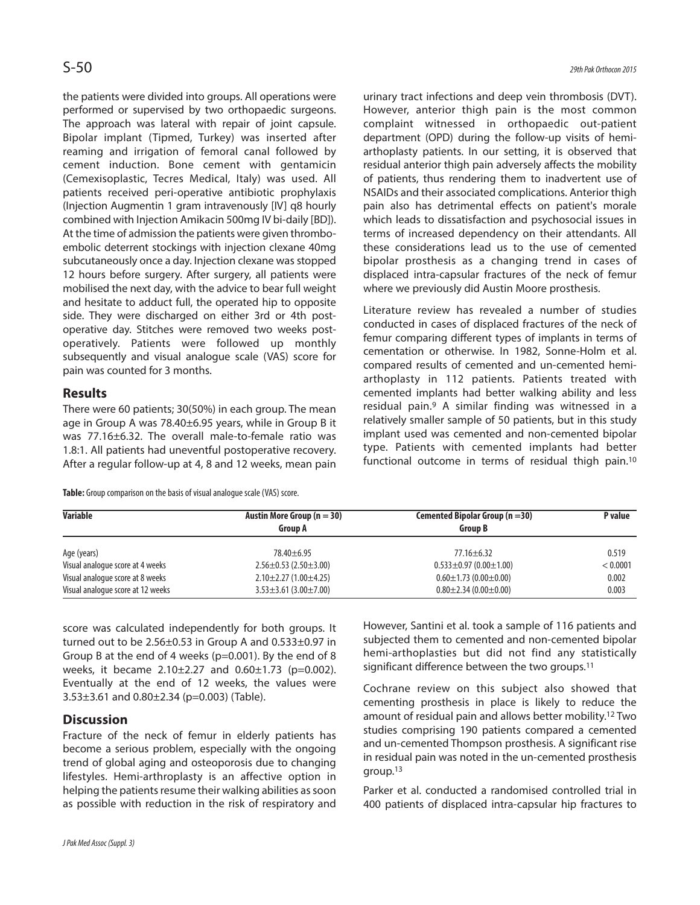the patients were divided into groups. All operations were performed or supervised by two orthopaedic surgeons. The approach was lateral with repair of joint capsule. Bipolar implant (Tipmed, Turkey) was inserted after reaming and irrigation of femoral canal followed by cement induction. Bone cement with gentamicin (Cemexisoplastic, Tecres Medical, Italy) was used. All patients received peri-operative antibiotic prophylaxis (Injection Augmentin 1 gram intravenously [IV] q8 hourly combined with Injection Amikacin 500mg IV bi-daily [BD]). At the time of admission the patients were given thromboembolic deterrent stockings with injection clexane 40mg subcutaneously once a day. Injection clexane was stopped 12 hours before surgery. After surgery, all patients were mobilised the next day, with the advice to bear full weight and hesitate to adduct full, the operated hip to opposite side. They were discharged on either 3rd or 4th postoperative day. Stitches were removed two weeks postoperatively. Patients were followed up monthly subsequently and visual analogue scale (VAS) score for pain was counted for 3 months.

# **Results**

There were 60 patients; 30(50%) in each group. The mean age in Group A was 78.40±6.95 years, while in Group B it was 77.16±6.32. The overall male-to-female ratio was 1.8:1. All patients had uneventful postoperative recovery. After a regular follow-up at 4, 8 and 12 weeks, mean pain

Table: Group comparison on the basis of visual analogue scale (VAS) score.

urinary tract infections and deep vein thrombosis (DVT). However, anterior thigh pain is the most common complaint witnessed in orthopaedic out-patient department (OPD) during the follow-up visits of hemiarthoplasty patients. In our setting, it is observed that residual anterior thigh pain adversely affects the mobility of patients, thus rendering them to inadvertent use of NSAIDs and their associated complications. Anterior thigh pain also has detrimental effects on patient's morale which leads to dissatisfaction and psychosocial issues in terms of increased dependency on their attendants. All these considerations lead us to the use of cemented bipolar prosthesis as a changing trend in cases of displaced intra-capsular fractures of the neck of femur where we previously did Austin Moore prosthesis.

Literature review has revealed a number of studies conducted in cases of displaced fractures of the neck of femur comparing different types of implants in terms of cementation or otherwise. In 1982, Sonne-Holm et al. compared results of cemented and un-cemented hemiarthoplasty in 112 patients. Patients treated with cemented implants had better walking ability and less residual pain. <sup>9</sup> A similar finding was witnessed in a relatively smaller sample of 50 patients, but in this study implant used was cemented and non-cemented bipolar type. Patients with cemented implants had better functional outcome in terms of residual thigh pain. 10

| <b>Variable</b>                   | Austin More Group ( $n = 30$ )<br><b>Group A</b> | Cemented Bipolar Group ( $n = 30$ )<br><b>Group B</b> | P value  |
|-----------------------------------|--------------------------------------------------|-------------------------------------------------------|----------|
|                                   |                                                  |                                                       |          |
| Age (years)                       | $78.40 \pm 6.95$                                 | $77.16 \pm 6.32$                                      | 0.519    |
| Visual analogue score at 4 weeks  | $2.56 \pm 0.53$ (2.50 $\pm$ 3.00)                | $0.533 \pm 0.97$ (0.00 $\pm$ 1.00)                    | < 0.0001 |
| Visual analogue score at 8 weeks  | $2.10\pm2.27(1.00\pm4.25)$                       | $0.60 \pm 1.73$ (0.00 $\pm$ 0.00)                     | 0.002    |
| Visual analogue score at 12 weeks | $3.53 \pm 3.61$ (3.00 $\pm$ 7.00)                | $0.80 \pm 2.34(0.00 \pm 0.00)$                        | 0.003    |

score was calculated independently for both groups. It turned out to be  $2.56\pm0.53$  in Group A and  $0.533\pm0.97$  in Group B at the end of 4 weeks (p=0.001). By the end of 8 weeks, it became  $2.10 \pm 2.27$  and  $0.60 \pm 1.73$  (p=0.002). Eventually at the end of 12 weeks, the values were 3.53±3.61 and 0.80±2.34 (p=0.003) (Table).

# **Discussion**

Fracture of the neck of femur in elderly patients has become a serious problem, especially with the ongoing trend of global aging and osteoporosis due to changing lifestyles. Hemi-arthroplasty is an affective option in helping the patients resume their walking abilities as soon as possible with reduction in the risk of respiratory and However, Santini et al. took a sample of 116 patients and subjected them to cemented and non-cemented bipolar hemi-arthoplasties but did not find any statistically significant difference between the two groups. 11

Cochrane review on this subject also showed that cementing prosthesis in place is likely to reduce the amount of residual pain and allows better mobility. <sup>12</sup> Two studies comprising 190 patients compared a cemented and un-cemented Thompson prosthesis. A significant rise in residual pain was noted in the un-cemented prosthesis group. 13

Parker et al. conducted a randomised controlled trial in 400 patients of displaced intra-capsular hip fractures to